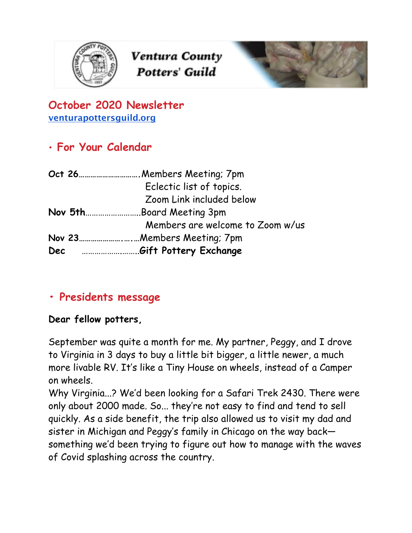

Ventura County **Potters' Guild** 



### **October 2020 Newsletter [venturapottersguild.org](http://venturapottersguild.org/)**

# • **For Your Calendar**

|     | Oct 26 | Members Meeting; 7pm.            |
|-----|--------|----------------------------------|
|     |        | Eclectic list of topics.         |
|     |        | Zoom Link included below         |
|     |        | Nov 5thBoard Meeting 3pm         |
|     |        | Members are welcome to Zoom w/us |
|     |        |                                  |
| Dec |        | Gift Pottery Exchange            |

# **• Presidents message**

### **Dear fellow potters,**

September was quite a month for me. My partner, Peggy, and I drove to Virginia in 3 days to buy a little bit bigger, a little newer, a much more livable RV. It's like a Tiny House on wheels, instead of a Camper on wheels.

Why Virginia...? We'd been looking for a Safari Trek 2430. There were only about 2000 made. So... they're not easy to find and tend to sell quickly. As a side benefit, the trip also allowed us to visit my dad and sister in Michigan and Peggy's family in Chicago on the way back something we'd been trying to figure out how to manage with the waves of Covid splashing across the country.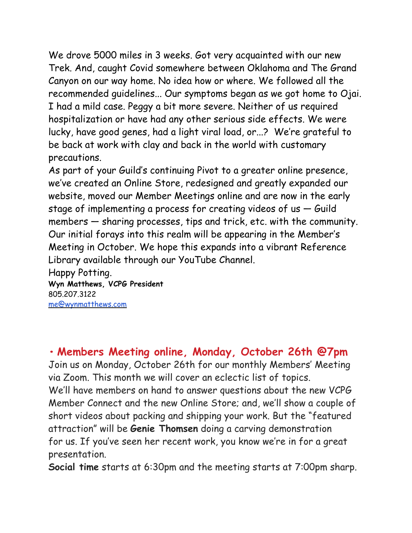We drove 5000 miles in 3 weeks. Got very acquainted with our new Trek. And, caught Covid somewhere between Oklahoma and The Grand Canyon on our way home. No idea how or where. We followed all the recommended guidelines... Our symptoms began as we got home to Ojai. I had a mild case. Peggy a bit more severe. Neither of us required hospitalization or have had any other serious side effects. We were lucky, have good genes, had a light viral load, or...? We're grateful to be back at work with clay and back in the world with customary precautions.

As part of your Guild's continuing Pivot to a greater online presence, we've created an Online Store, redesigned and greatly expanded our website, moved our Member Meetings online and are now in the early stage of implementing a process for creating videos of us — Guild members — sharing processes, tips and trick, etc. with the community. Our initial forays into this realm will be appearing in the Member's Meeting in October. We hope this expands into a vibrant Reference Library available through our YouTube Channel.

Happy Potting. **Wyn Matthews, VCPG President** 805.207.3122 [me@wynmatthews.com](mailto:me@wynmatthews.com)

**• Members Meeting online, Monday, October 26th @7pm** Join us on Monday, October 26th for our monthly Members' Meeting via Zoom. This month we will cover an eclectic list of topics. We'll have members on hand to answer questions about the new VCPG Member Connect and the new Online Store; and, we'll show a couple of short videos about packing and shipping your work. But the "featured attraction" will be **Genie Thomsen** doing a carving demonstration for us. If you've seen her recent work, you know we're in for a great presentation.

**Social time** starts at 6:30pm and the meeting starts at 7:00pm sharp.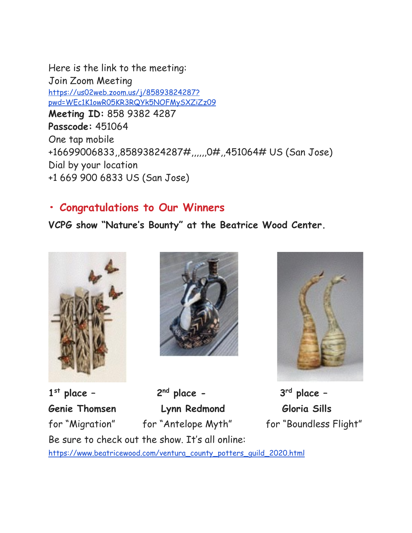Here is the link to the meeting: Join Zoom Meeting https://us02web.zoom.us/j/85893824287? pwd=WEc1K1owR05KR3RQYk5NOFMySXZiZz09 **Meeting ID:** 858 9382 4287 **Passcode:** 451064 One tap mobile +16699006833,,85893824287#,,,,,,0#,,451064# US (San Jose) Dial by your location +1 669 900 6833 US (San Jose)

### **• Congratulations to Our Winners**

**VCPG show "Nature's Bounty" at the Beatrice Wood Center.**







**1st place – 2nd place - 3rd place – Genie Thomsen Lynn Redmond Gloria Sills** for "Migration" for "Antelope Myth" for "Boundless Flight" Be sure to check out the show. It's all online: https://www.beatricewood.com/ventura\_county\_potters\_guild\_2020.html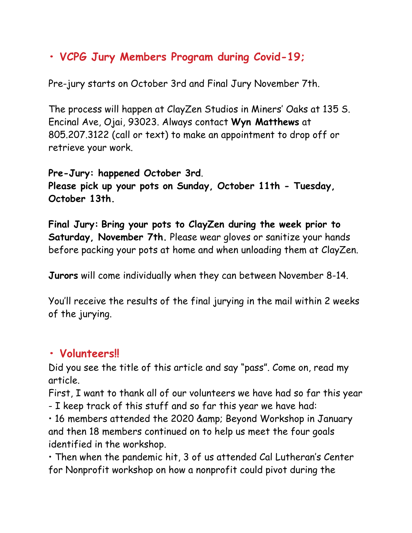# **• VCPG Jury Members Program during Covid-19;**

Pre-jury starts on October 3rd and Final Jury November 7th.

The process will happen at ClayZen Studios in Miners' Oaks at 135 S. Encinal Ave, Ojai, 93023. Always contact **Wyn Matthews** at 805.207.3122 (call or text) to make an appointment to drop off or retrieve your work.

**Pre-Jury: happened October 3rd**. **Please pick up your pots on Sunday, October 11th - Tuesday, October 13th.**

**Final Jury: Bring your pots to ClayZen during the week prior to Saturday, November 7th.** Please wear gloves or sanitize your hands before packing your pots at home and when unloading them at ClayZen.

**Jurors** will come individually when they can between November 8-14.

You'll receive the results of the final jurying in the mail within 2 weeks of the jurying.

### **• Volunteers!!**

Did you see the title of this article and say "pass". Come on, read my article.

First, I want to thank all of our volunteers we have had so far this year

- I keep track of this stuff and so far this year we have had:

• 16 members attended the 2020 & amp; Beyond Workshop in January and then 18 members continued on to help us meet the four goals identified in the workshop.

• Then when the pandemic hit, 3 of us attended Cal Lutheran's Center for Nonprofit workshop on how a nonprofit could pivot during the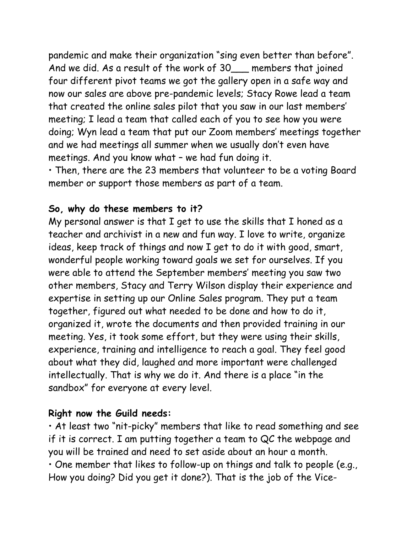pandemic and make their organization "sing even better than before". And we did. As a result of the work of 30 members that joined four different pivot teams we got the gallery open in a safe way and now our sales are above pre-pandemic levels; Stacy Rowe lead a team that created the online sales pilot that you saw in our last members' meeting; I lead a team that called each of you to see how you were doing; Wyn lead a team that put our Zoom members' meetings together and we had meetings all summer when we usually don't even have meetings. And you know what – we had fun doing it.

• Then, there are the 23 members that volunteer to be a voting Board member or support those members as part of a team.

### **So, why do these members to it?**

My personal answer is that I get to use the skills that I honed as a teacher and archivist in a new and fun way. I love to write, organize ideas, keep track of things and now I get to do it with good, smart, wonderful people working toward goals we set for ourselves. If you were able to attend the September members' meeting you saw two other members, Stacy and Terry Wilson display their experience and expertise in setting up our Online Sales program. They put a team together, figured out what needed to be done and how to do it, organized it, wrote the documents and then provided training in our meeting. Yes, it took some effort, but they were using their skills, experience, training and intelligence to reach a goal. They feel good about what they did, laughed and more important were challenged intellectually. That is why we do it. And there is a place "in the sandbox" for everyone at every level.

### **Right now the Guild needs:**

• At least two "nit-picky" members that like to read something and see if it is correct. I am putting together a team to QC the webpage and you will be trained and need to set aside about an hour a month. • One member that likes to follow-up on things and talk to people (e.g., How you doing? Did you get it done?). That is the job of the Vice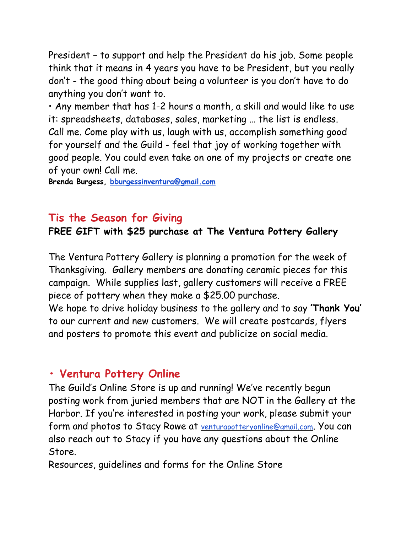President – to support and help the President do his job. Some people think that it means in 4 years you have to be President, but you really don't - the good thing about being a volunteer is you don't have to do anything you don't want to.

• Any member that has 1-2 hours a month, a skill and would like to use it: spreadsheets, databases, sales, marketing … the list is endless. Call me. Come play with us, laugh with us, accomplish something good for yourself and the Guild - feel that joy of working together with good people. You could even take on one of my projects or create one of your own! Call me.

**Brenda Burgess, bburgessinventura@gmail.com**

### **Tis the Season for Giving**

### **FREE GIFT with \$25 purchase at The Ventura Pottery Gallery**

The Ventura Pottery Gallery is planning a promotion for the week of Thanksgiving. Gallery members are donating ceramic pieces for this campaign. While supplies last, gallery customers will receive a FREE piece of pottery when they make a \$25.00 purchase.

We hope to drive holiday business to the gallery and to say **'Thank You'** to our current and new customers. We will create postcards, flyers and posters to promote this event and publicize on social media.

### **• Ventura Pottery Online**

The Guild's Online Store is up and running! We've recently begun posting work from juried members that are NOT in the Gallery at the Harbor. If you're interested in posting your work, please submit your form and photos to Stacy Rowe at venturapotteryonline@gmail.com. You can also reach out to Stacy if you have any questions about the Online Store.

Resources, guidelines and forms for the Online Store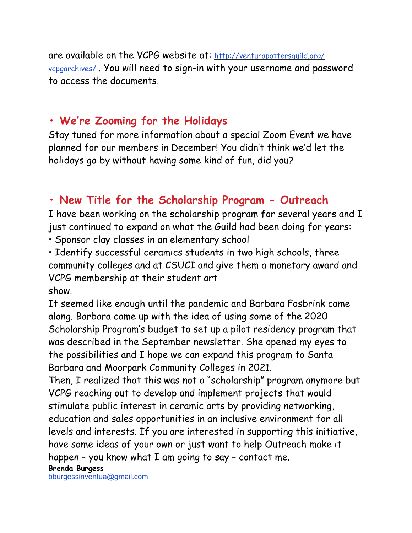are available on the VCPG website at: http://venturapottersguild.org/ vcpgarchives/ . You will need to sign-in with your username and password to access the documents.

# **• We're Zooming for the Holidays**

Stay tuned for more information about a special Zoom Event we have planned for our members in December! You didn't think we'd let the holidays go by without having some kind of fun, did you?

# **• New Title for the Scholarship Program - Outreach**

I have been working on the scholarship program for several years and I just continued to expand on what the Guild had been doing for years:

• Sponsor clay classes in an elementary school

• Identify successful ceramics students in two high schools, three community colleges and at CSUCI and give them a monetary award and VCPG membership at their student art show.

It seemed like enough until the pandemic and Barbara Fosbrink came along. Barbara came up with the idea of using some of the 2020 Scholarship Program's budget to set up a pilot residency program that was described in the September newsletter. She opened my eyes to the possibilities and I hope we can expand this program to Santa Barbara and Moorpark Community Colleges in 2021.

Then, I realized that this was not a "scholarship" program anymore but VCPG reaching out to develop and implement projects that would stimulate public interest in ceramic arts by providing networking, education and sales opportunities in an inclusive environment for all levels and interests. If you are interested in supporting this initiative, have some ideas of your own or just want to help Outreach make it happen – you know what  $I$  am going to say – contact me.

[bburgessinventua@gmail.com](mailto:bburgessinventua@gmail.com)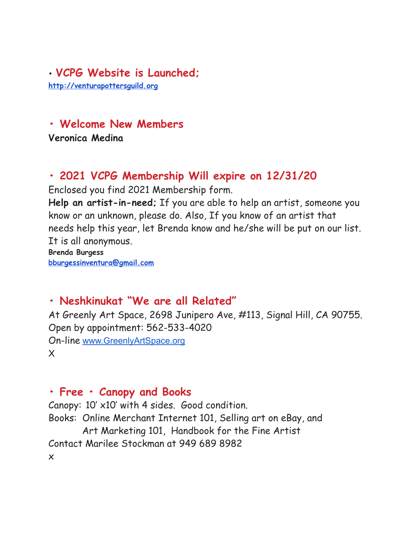### • **VCPG Website is Launched; <http://venturapottersguild.org>**

# **• Welcome New Members**

**Veronica Medina** 

# **• 2021 VCPG Membership Will expire on 12/31/20**

Enclosed you find 2021 Membership form.

**Help an artist-in-need;** If you are able to help an artist, someone you know or an unknown, please do. Also, If you know of an artist that needs help this year, let Brenda know and he/she will be put on our list. It is all anonymous.

**Brenda Burgess bburgessinventura@gmail.com**

# **• Neshkinukat "We are all Related"**

At Greenly Art Space, 2698 Junipero Ave, #113, Signal Hill, CA 90755. Open by appointment: 562-533-4020 On-line [www.GreenlyArtSpace.org](http://www.greenlyartspace.org/) X

# **• Free • Canopy and Books**

Canopy: 10' x10' with 4 sides. Good condition. Books: Online Merchant Internet 101, Selling art on eBay, and Art Marketing 101, Handbook for the Fine Artist Contact Marilee Stockman at 949 689 8982 x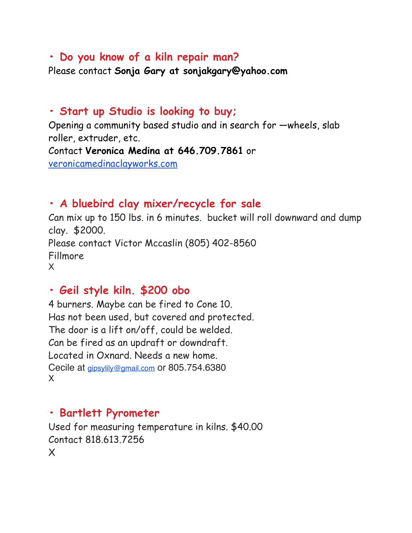### **• Do you know of a kiln repair man?**

Please contact **Sonja Gary at sonjakgary@yahoo.com**

### **• Start up Studio is looking to buy;**

Opening a community based studio and in search for —wheels, slab roller, extruder, etc. Contact **Veronica Medina at 646.709.7861** or [veronicamedinaclayworks.com](http://veronicamedinaclayworks.com/)

# **• A bluebird clay mixer/recycle for sale**

Can mix up to 150 lbs. in 6 minutes. bucket will roll downward and dump clay. \$2000. Please contact Victor Mccaslin (805) 402-8560 Fillmore X

## **• Geil style kiln. \$200 obo**

4 burners. Maybe can be fired to Cone 10. Has not been used, but covered and protected. The door is a lift on/off, could be welded. Can be fired as an updraft or downdraft. Located in Oxnard. Needs a new home. Cecile at [gipsylily@gmail.com](mailto:gipsylily@gmail.com) or 805.754.6380 X

# **• Bartlett Pyrometer**

Used for measuring temperature in kilns. \$40.00 Contact 818.613.7256 X